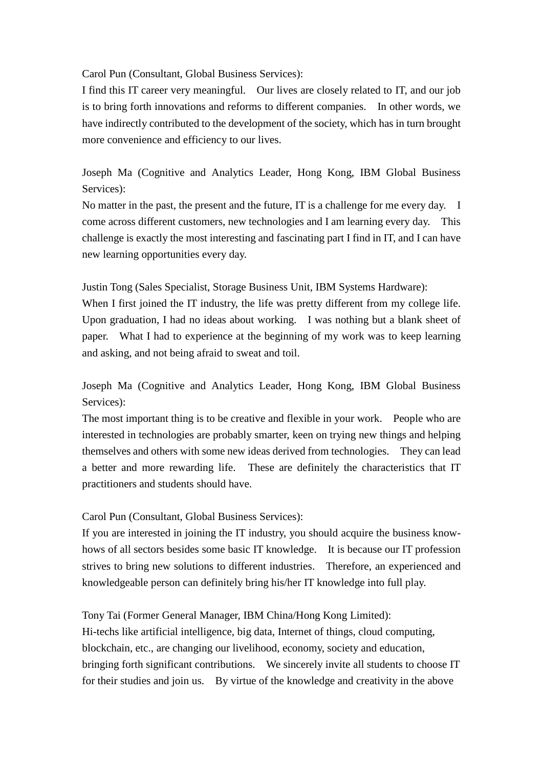Carol Pun (Consultant, Global Business Services):

 I find this IT career very meaningful. Our lives are closely related to IT, and our job is to bring forth innovations and reforms to different companies. In other words, we have indirectly contributed to the development of the society, which has in turn brought more convenience and efficiency to our lives.

Joseph Ma (Cognitive and Analytics Leader, Hong Kong, IBM Global Business Services):

 No matter in the past, the present and the future, IT is a challenge for me every day. I come across different customers, new technologies and I am learning every day. This challenge is exactly the most interesting and fascinating part I find in IT, and I can have new learning opportunities every day.

Justin Tong (Sales Specialist, Storage Business Unit, IBM Systems Hardware):

 When I first joined the IT industry, the life was pretty different from my college life. Upon graduation, I had no ideas about working. I was nothing but a blank sheet of paper. What I had to experience at the beginning of my work was to keep learning and asking, and not being afraid to sweat and toil.

Joseph Ma (Cognitive and Analytics Leader, Hong Kong, IBM Global Business Services):

 interested in technologies are probably smarter, keen on trying new things and helping themselves and others with some new ideas derived from technologies. They can lead a better and more rewarding life. These are definitely the characteristics that IT The most important thing is to be creative and flexible in your work. People who are practitioners and students should have.

Carol Pun (Consultant, Global Business Services):

 If you are interested in joining the IT industry, you should acquire the business know- hows of all sectors besides some basic IT knowledge. It is because our IT profession strives to bring new solutions to different industries. Therefore, an experienced and knowledgeable person can definitely bring his/her IT knowledge into full play.

Tony Tai (Former General Manager, IBM China/Hong Kong Limited):

 bringing forth significant contributions. We sincerely invite all students to choose IT Hi-techs like artificial intelligence, big data, Internet of things, cloud computing, blockchain, etc., are changing our livelihood, economy, society and education, for their studies and join us. By virtue of the knowledge and creativity in the above